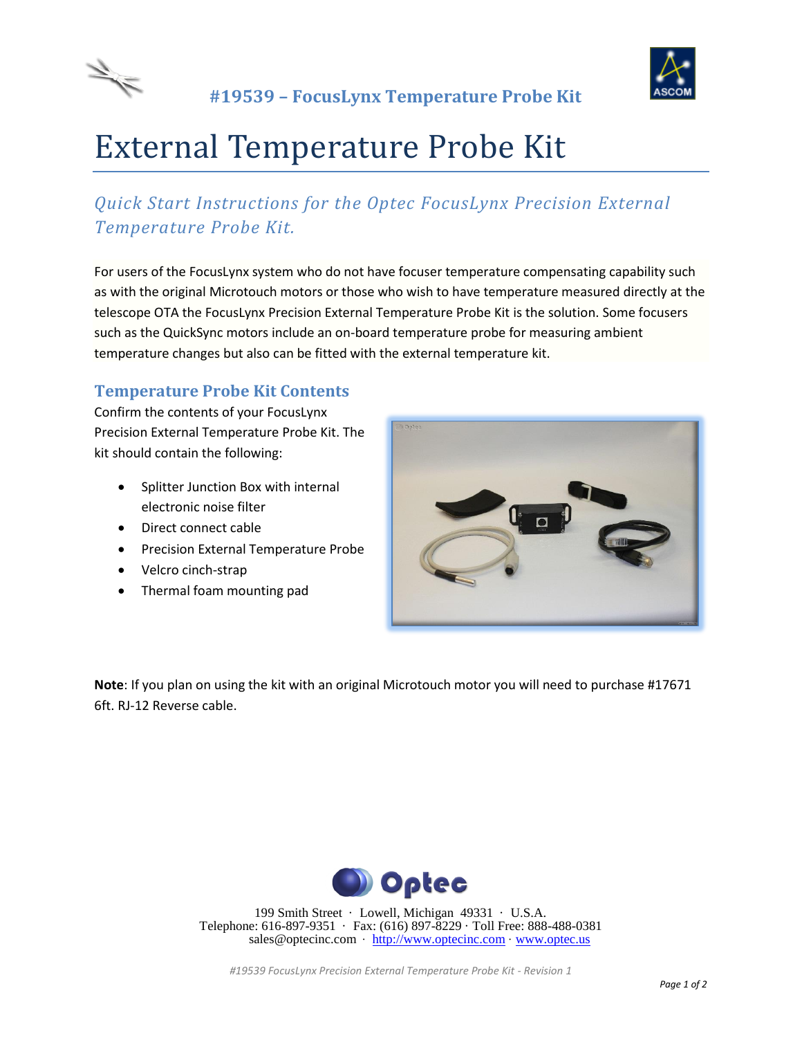



# External Temperature Probe Kit

## *Quick Start Instructions for the Optec FocusLynx Precision External Temperature Probe Kit.*

For users of the FocusLynx system who do not have focuser temperature compensating capability such as with the original Microtouch motors or those who wish to have temperature measured directly at the telescope OTA the FocusLynx Precision External Temperature Probe Kit is the solution. Some focusers such as the QuickSync motors include an on-board temperature probe for measuring ambient temperature changes but also can be fitted with the external temperature kit.

#### **Temperature Probe Kit Contents**

Confirm the contents of your FocusLynx Precision External Temperature Probe Kit. The kit should contain the following:

- Splitter Junction Box with internal electronic noise filter
- Direct connect cable
- **•** Precision External Temperature Probe
- Velcro cinch-strap
- Thermal foam mounting pad



**Note**: If you plan on using the kit with an original Microtouch motor you will need to purchase #17671 6ft. RJ-12 Reverse cable.



199 Smith Street · Lowell, Michigan 49331 · U.S.A. Telephone: 616-897-9351 · Fax: (616) 897-8229 · Toll Free: 888-488-0381 sales@optecinc.com · [http://www.optecinc.com](http://www.optecinc.com/) · [www.optec.us](file://///Epsilon/data/Office%20Files/PRICES/Optec%20Prices%20and%20Terms/www.optec.us)